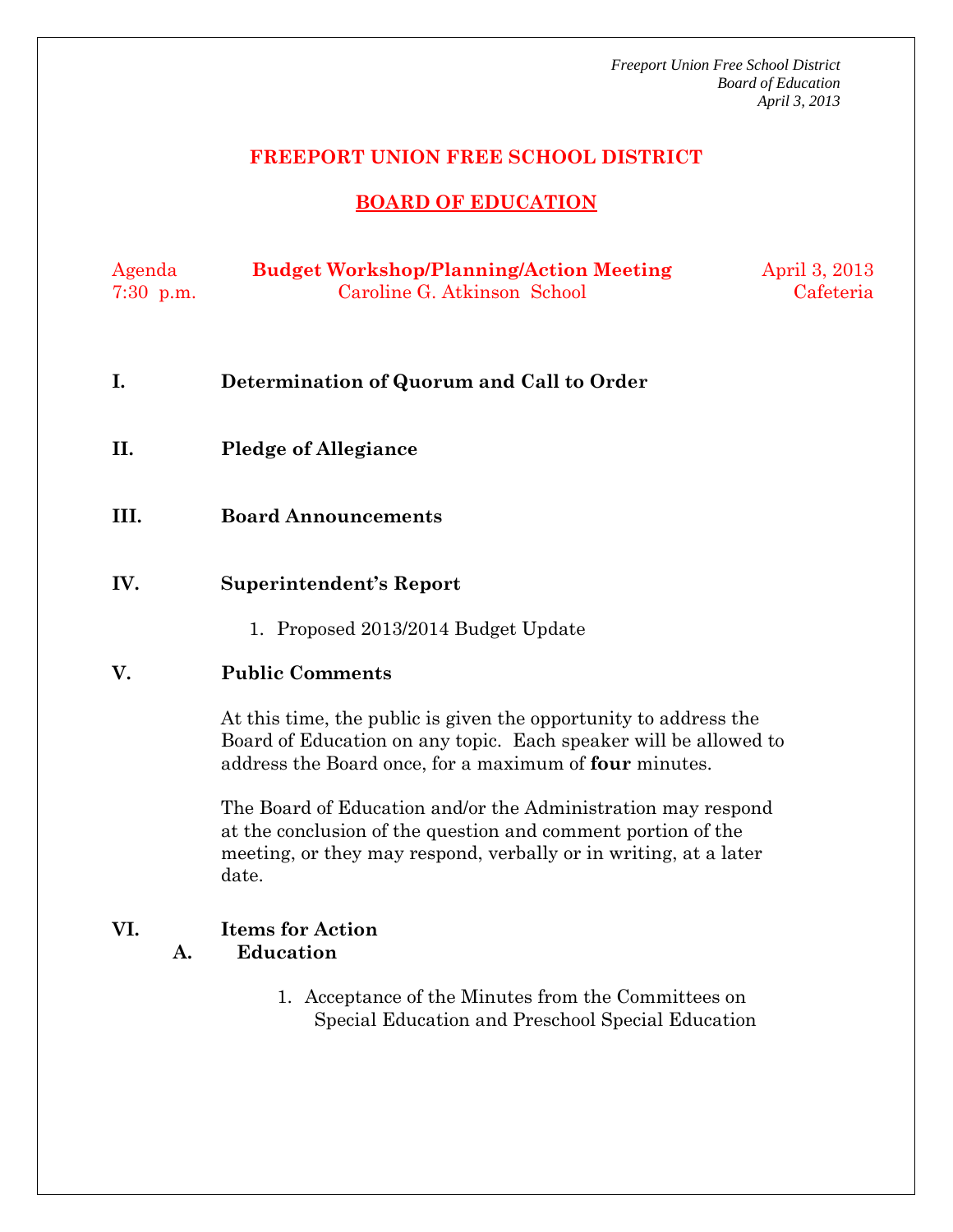*Freeport Union Free School District Board of Education April 3, 2013* 

## **FREEPORT UNION FREE SCHOOL DISTRICT**

# **BOARD OF EDUCATION**

| Agenda      | <b>Budget Workshop/Planning/Action Meeting</b> | April 3, 2013 |
|-------------|------------------------------------------------|---------------|
| $7:30$ p.m. | Caroline G. Atkinson School                    | Cafeteria     |

- **I. Determination of Quorum and Call to Order**
- **II. Pledge of Allegiance**
- **III. Board Announcements**
- **IV. Superintendent's Report** 
	- 1. Proposed 2013/2014 Budget Update

### **V. Public Comments**

At this time, the public is given the opportunity to address the Board of Education on any topic. Each speaker will be allowed to address the Board once, for a maximum of **four** minutes.

The Board of Education and/or the Administration may respond at the conclusion of the question and comment portion of the meeting, or they may respond, verbally or in writing, at a later date.

# **VI. Items for Action A. Education**

1. Acceptance of the Minutes from the Committees on Special Education and Preschool Special Education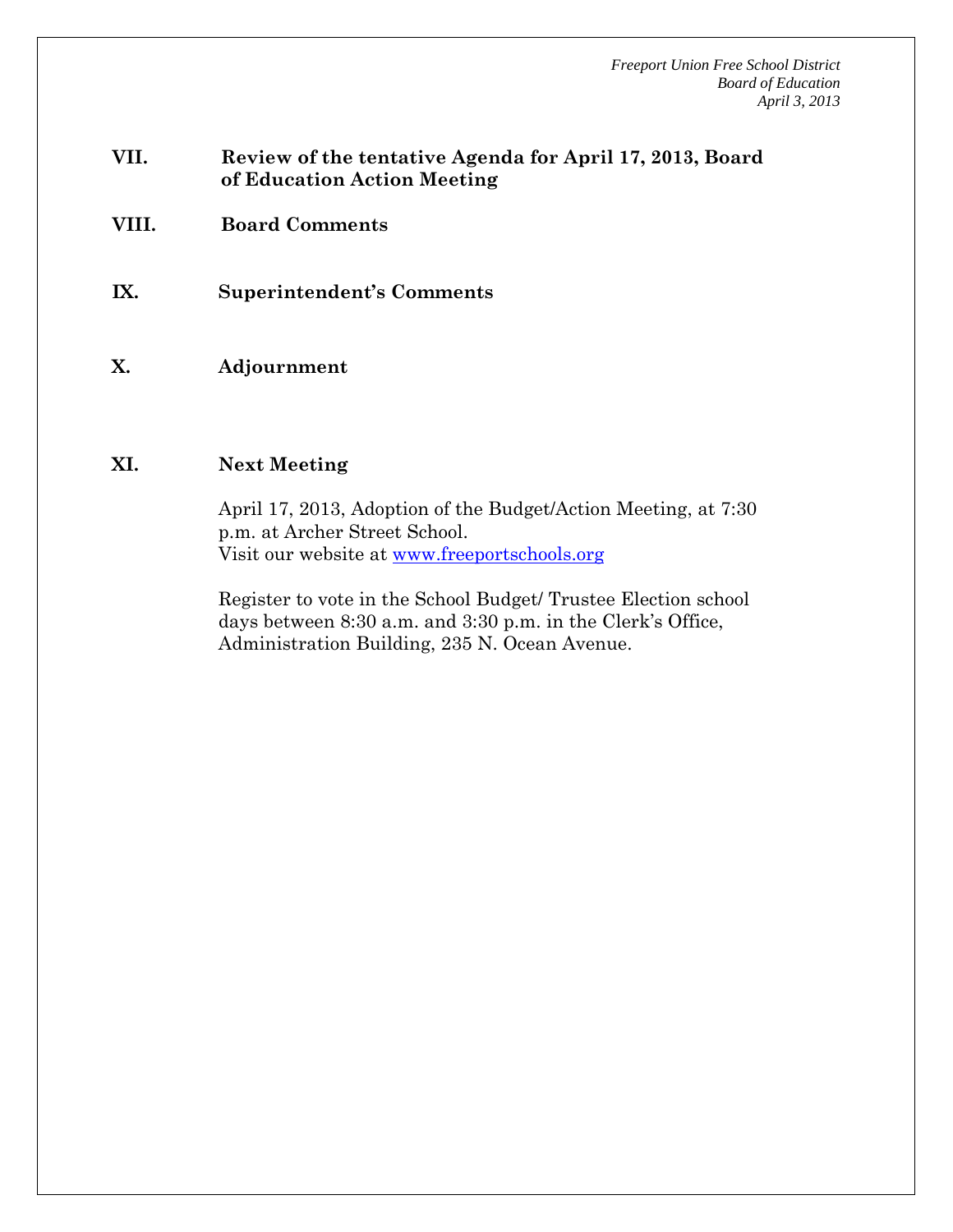*Freeport Union Free School District Board of Education April 3, 2013* 

- **VII. Review of the tentative Agenda for April 17, 2013, Board of Education Action Meeting**
- **VIII. Board Comments**
- **IX. Superintendent's Comments**
- **X. Adjournment**

#### **XI. Next Meeting**

April 17, 2013, Adoption of the Budget/Action Meeting, at 7:30 p.m. at Archer Street School. Visit our website at www.freeportschools.org

Register to vote in the School Budget/ Trustee Election school days between 8:30 a.m. and 3:30 p.m. in the Clerk's Office, Administration Building, 235 N. Ocean Avenue.